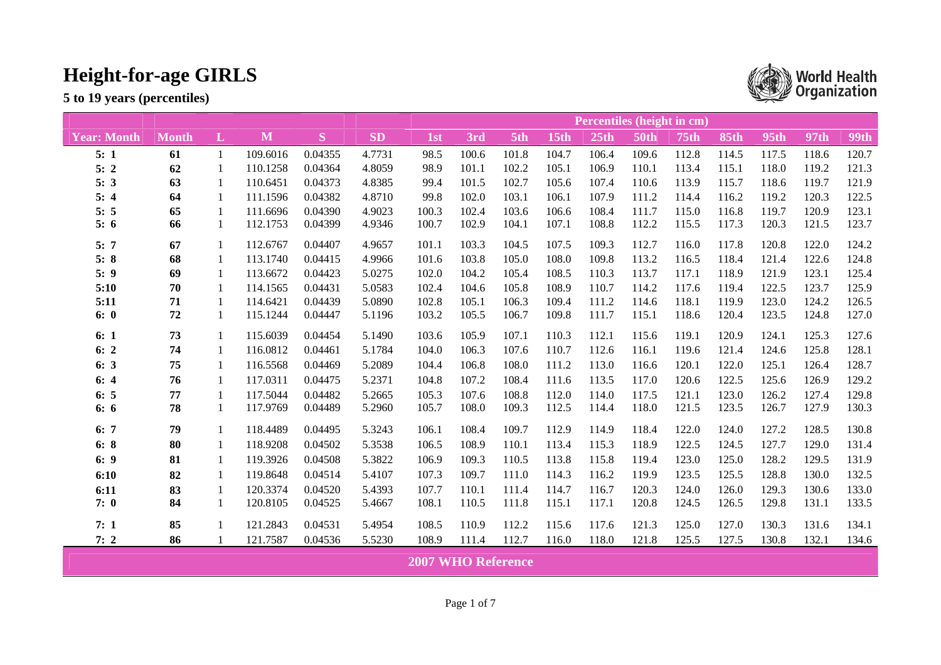**5 to 19 years (percentiles)** 



**World Health**<br>Crganization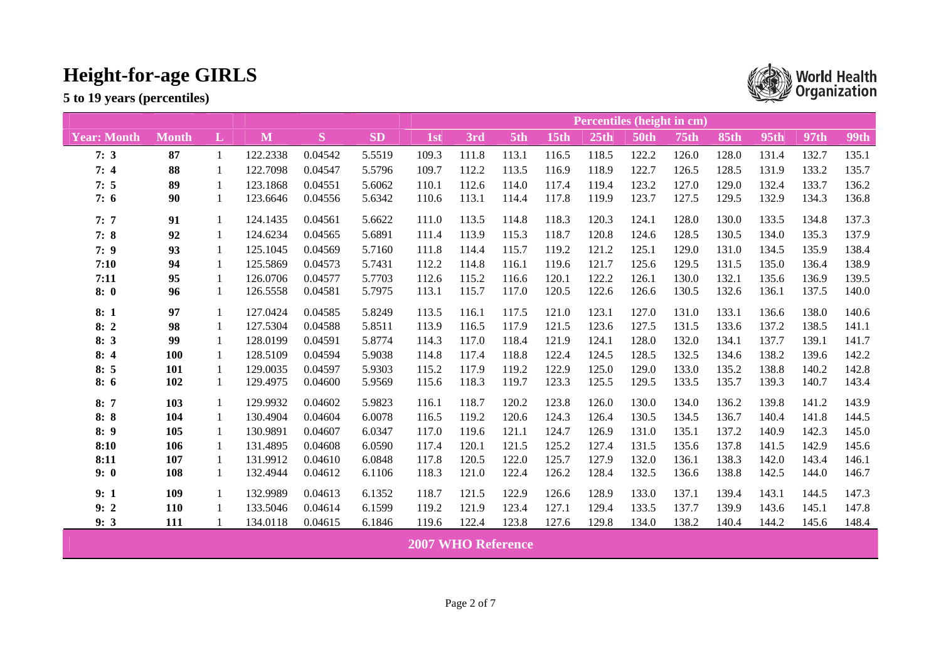|                    |              |          | <b>Percentiles (height in cm)</b> |                            |           |                           |       |       |             |       |             |             |             |       |             |             |
|--------------------|--------------|----------|-----------------------------------|----------------------------|-----------|---------------------------|-------|-------|-------------|-------|-------------|-------------|-------------|-------|-------------|-------------|
| <b>Year: Month</b> | <b>Month</b> | $\bf{L}$ | M                                 | $\left  \mathbf{S}\right $ | <b>SD</b> | 1st                       | 3rd   | 5th   | <b>15th</b> | 25th  | <b>50th</b> | <b>75th</b> | <b>85th</b> | 95th  | <b>97th</b> | <b>99th</b> |
| 7:3                | 87           | 1        | 122.2338                          | 0.04542                    | 5.5519    | 109.3                     | 111.8 | 113.1 | 116.5       | 118.5 | 122.2       | 126.0       | 128.0       | 131.4 | 132.7       | 135.1       |
| 7:4                | 88           | 1        | 122.7098                          | 0.04547                    | 5.5796    | 109.7                     | 112.2 | 113.5 | 116.9       | 118.9 | 122.7       | 126.5       | 128.5       | 131.9 | 133.2       | 135.7       |
| 7:5                | 89           |          | 123.1868                          | 0.04551                    | 5.6062    | 110.1                     | 112.6 | 114.0 | 117.4       | 119.4 | 123.2       | 127.0       | 129.0       | 132.4 | 133.7       | 136.2       |
| 7:6                | 90           |          | 123.6646                          | 0.04556                    | 5.6342    | 110.6                     | 113.1 | 114.4 | 117.8       | 119.9 | 123.7       | 127.5       | 129.5       | 132.9 | 134.3       | 136.8       |
| 7:7                | 91           | 1        | 124.1435                          | 0.04561                    | 5.6622    | 111.0                     | 113.5 | 114.8 | 118.3       | 120.3 | 124.1       | 128.0       | 130.0       | 133.5 | 134.8       | 137.3       |
| 7:8                | 92           | 1        | 124.6234                          | 0.04565                    | 5.6891    | 111.4                     | 113.9 | 115.3 | 118.7       | 120.8 | 124.6       | 128.5       | 130.5       | 134.0 | 135.3       | 137.9       |
| 7:9                | 93           | -1       | 125.1045                          | 0.04569                    | 5.7160    | 111.8                     | 114.4 | 115.7 | 119.2       | 121.2 | 125.1       | 129.0       | 131.0       | 134.5 | 135.9       | 138.4       |
| 7:10               | 94           |          | 125.5869                          | 0.04573                    | 5.7431    | 112.2                     | 114.8 | 116.1 | 119.6       | 121.7 | 125.6       | 129.5       | 131.5       | 135.0 | 136.4       | 138.9       |
| 7:11               | 95           |          | 126.0706                          | 0.04577                    | 5.7703    | 112.6                     | 115.2 | 116.6 | 120.1       | 122.2 | 126.1       | 130.0       | 132.1       | 135.6 | 136.9       | 139.5       |
| 8:0                | 96           | 1        | 126.5558                          | 0.04581                    | 5.7975    | 113.1                     | 115.7 | 117.0 | 120.5       | 122.6 | 126.6       | 130.5       | 132.6       | 136.1 | 137.5       | 140.0       |
| 8:1                | 97           | 1        | 127.0424                          | 0.04585                    | 5.8249    | 113.5                     | 116.1 | 117.5 | 121.0       | 123.1 | 127.0       | 131.0       | 133.1       | 136.6 | 138.0       | 140.6       |
| 8:2                | 98           |          | 127.5304                          | 0.04588                    | 5.8511    | 113.9                     | 116.5 | 117.9 | 121.5       | 123.6 | 127.5       | 131.5       | 133.6       | 137.2 | 138.5       | 141.1       |
| 8:3                | 99           |          | 128.0199                          | 0.04591                    | 5.8774    | 114.3                     | 117.0 | 118.4 | 121.9       | 124.1 | 128.0       | 132.0       | 134.1       | 137.7 | 139.1       | 141.7       |
| 8:4                | <b>100</b>   |          | 128.5109                          | 0.04594                    | 5.9038    | 114.8                     | 117.4 | 118.8 | 122.4       | 124.5 | 128.5       | 132.5       | 134.6       | 138.2 | 139.6       | 142.2       |
| 8:5                | 101          |          | 129.0035                          | 0.04597                    | 5.9303    | 115.2                     | 117.9 | 119.2 | 122.9       | 125.0 | 129.0       | 133.0       | 135.2       | 138.8 | 140.2       | 142.8       |
| 8:6                | 102          | 1        | 129.4975                          | 0.04600                    | 5.9569    | 115.6                     | 118.3 | 119.7 | 123.3       | 125.5 | 129.5       | 133.5       | 135.7       | 139.3 | 140.7       | 143.4       |
| 8:7                | 103          | -1       | 129.9932                          | 0.04602                    | 5.9823    | 116.1                     | 118.7 | 120.2 | 123.8       | 126.0 | 130.0       | 134.0       | 136.2       | 139.8 | 141.2       | 143.9       |
| 8:8                | 104          |          | 130.4904                          | 0.04604                    | 6.0078    | 116.5                     | 119.2 | 120.6 | 124.3       | 126.4 | 130.5       | 134.5       | 136.7       | 140.4 | 141.8       | 144.5       |
| 8:9                | 105          |          | 130.9891                          | 0.04607                    | 6.0347    | 117.0                     | 119.6 | 121.1 | 124.7       | 126.9 | 131.0       | 135.1       | 137.2       | 140.9 | 142.3       | 145.0       |
| 8:10               | 106          |          | 131.4895                          | 0.04608                    | 6.0590    | 117.4                     | 120.1 | 121.5 | 125.2       | 127.4 | 131.5       | 135.6       | 137.8       | 141.5 | 142.9       | 145.6       |
| 8:11               | 107          | 1        | 131.9912                          | 0.04610                    | 6.0848    | 117.8                     | 120.5 | 122.0 | 125.7       | 127.9 | 132.0       | 136.1       | 138.3       | 142.0 | 143.4       | 146.1       |
| 9:0                | 108          |          | 132.4944                          | 0.04612                    | 6.1106    | 118.3                     | 121.0 | 122.4 | 126.2       | 128.4 | 132.5       | 136.6       | 138.8       | 142.5 | 144.0       | 146.7       |
| 9:1                | 109          |          | 132.9989                          | 0.04613                    | 6.1352    | 118.7                     | 121.5 | 122.9 | 126.6       | 128.9 | 133.0       | 137.1       | 139.4       | 143.1 | 144.5       | 147.3       |
| 9:2                | 110          |          | 133.5046                          | 0.04614                    | 6.1599    | 119.2                     | 121.9 | 123.4 | 127.1       | 129.4 | 133.5       | 137.7       | 139.9       | 143.6 | 145.1       | 147.8       |
| 9:3                | 111          |          | 134.0118                          | 0.04615                    | 6.1846    | 119.6                     | 122.4 | 123.8 | 127.6       | 129.8 | 134.0       | 138.2       | 140.4       | 144.2 | 145.6       | 148.4       |
|                    |              |          |                                   |                            |           | <b>2007 WHO Reference</b> |       |       |             |       |             |             |             |       |             |             |

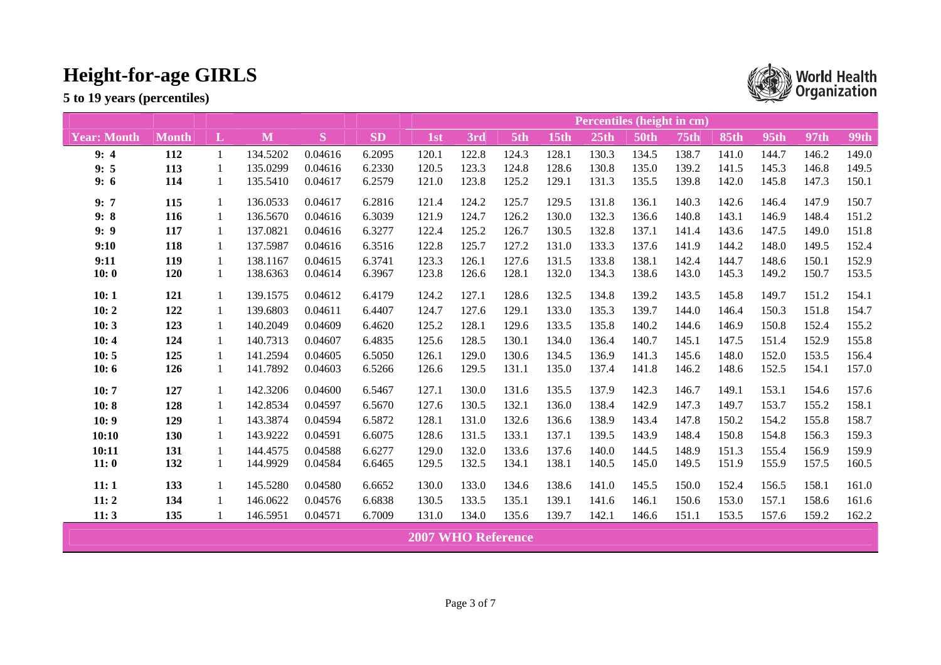|                    | Percentiles (height in cm) |   |          |         |           |                           |       |       |       |       |             |             |             |             |             |             |
|--------------------|----------------------------|---|----------|---------|-----------|---------------------------|-------|-------|-------|-------|-------------|-------------|-------------|-------------|-------------|-------------|
| <b>Year: Month</b> | Month                      | L | M        | S       | <b>SD</b> | 1st                       | 3rd   | 5th   | 15th  | 25th  | <b>50th</b> | <b>75th</b> | <b>85th</b> | <b>95th</b> | <b>97th</b> | <b>99th</b> |
| 9:4                | 112                        | 1 | 134.5202 | 0.04616 | 6.2095    | 120.1                     | 122.8 | 124.3 | 128.1 | 130.3 | 134.5       | 138.7       | 141.0       | 144.7       | 146.2       | 149.0       |
| 9:5                | 113                        |   | 135.0299 | 0.04616 | 6.2330    | 120.5                     | 123.3 | 124.8 | 128.6 | 130.8 | 135.0       | 139.2       | 141.5       | 145.3       | 146.8       | 149.5       |
| 9:6                | 114                        | 1 | 135.5410 | 0.04617 | 6.2579    | 121.0                     | 123.8 | 125.2 | 129.1 | 131.3 | 135.5       | 139.8       | 142.0       | 145.8       | 147.3       | 150.1       |
| 9:7                | 115                        |   | 136.0533 | 0.04617 | 6.2816    | 121.4                     | 124.2 | 125.7 | 129.5 | 131.8 | 136.1       | 140.3       | 142.6       | 146.4       | 147.9       | 150.7       |
| 9:8                | 116                        |   | 136.5670 | 0.04616 | 6.3039    | 121.9                     | 124.7 | 126.2 | 130.0 | 132.3 | 136.6       | 140.8       | 143.1       | 146.9       | 148.4       | 151.2       |
| 9:9                | 117                        |   | 137.0821 | 0.04616 | 6.3277    | 122.4                     | 125.2 | 126.7 | 130.5 | 132.8 | 137.1       | 141.4       | 143.6       | 147.5       | 149.0       | 151.8       |
| 9:10               | 118                        | 1 | 137.5987 | 0.04616 | 6.3516    | 122.8                     | 125.7 | 127.2 | 131.0 | 133.3 | 137.6       | 141.9       | 144.2       | 148.0       | 149.5       | 152.4       |
| 9:11               | 119                        |   | 138.1167 | 0.04615 | 6.3741    | 123.3                     | 126.1 | 127.6 | 131.5 | 133.8 | 138.1       | 142.4       | 144.7       | 148.6       | 150.1       | 152.9       |
| 10:0               | 120                        | 1 | 138.6363 | 0.04614 | 6.3967    | 123.8                     | 126.6 | 128.1 | 132.0 | 134.3 | 138.6       | 143.0       | 145.3       | 149.2       | 150.7       | 153.5       |
| 10:1               | 121                        |   | 139.1575 | 0.04612 | 6.4179    | 124.2                     | 127.1 | 128.6 | 132.5 | 134.8 | 139.2       | 143.5       | 145.8       | 149.7       | 151.2       | 154.1       |
| 10:2               | 122                        |   | 139.6803 | 0.04611 | 6.4407    | 124.7                     | 127.6 | 129.1 | 133.0 | 135.3 | 139.7       | 144.0       | 146.4       | 150.3       | 151.8       | 154.7       |
| 10:3               | 123                        | 1 | 140.2049 | 0.04609 | 6.4620    | 125.2                     | 128.1 | 129.6 | 133.5 | 135.8 | 140.2       | 144.6       | 146.9       | 150.8       | 152.4       | 155.2       |
| 10:4               | 124                        | 1 | 140.7313 | 0.04607 | 6.4835    | 125.6                     | 128.5 | 130.1 | 134.0 | 136.4 | 140.7       | 145.1       | 147.5       | 151.4       | 152.9       | 155.8       |
| 10:5               | 125                        | 1 | 141.2594 | 0.04605 | 6.5050    | 126.1                     | 129.0 | 130.6 | 134.5 | 136.9 | 141.3       | 145.6       | 148.0       | 152.0       | 153.5       | 156.4       |
| 10:6               | 126                        | 1 | 141.7892 | 0.04603 | 6.5266    | 126.6                     | 129.5 | 131.1 | 135.0 | 137.4 | 141.8       | 146.2       | 148.6       | 152.5       | 154.1       | 157.0       |
| 10:7               | 127                        | 1 | 142.3206 | 0.04600 | 6.5467    | 127.1                     | 130.0 | 131.6 | 135.5 | 137.9 | 142.3       | 146.7       | 149.1       | 153.1       | 154.6       | 157.6       |
| 10:8               | 128                        |   | 142.8534 | 0.04597 | 6.5670    | 127.6                     | 130.5 | 132.1 | 136.0 | 138.4 | 142.9       | 147.3       | 149.7       | 153.7       | 155.2       | 158.1       |
| 10:9               | 129                        | 1 | 143.3874 | 0.04594 | 6.5872    | 128.1                     | 131.0 | 132.6 | 136.6 | 138.9 | 143.4       | 147.8       | 150.2       | 154.2       | 155.8       | 158.7       |
| 10:10              | 130                        |   | 143.9222 | 0.04591 | 6.6075    | 128.6                     | 131.5 | 133.1 | 137.1 | 139.5 | 143.9       | 148.4       | 150.8       | 154.8       | 156.3       | 159.3       |
| 10:11              | 131                        |   | 144.4575 | 0.04588 | 6.6277    | 129.0                     | 132.0 | 133.6 | 137.6 | 140.0 | 144.5       | 148.9       | 151.3       | 155.4       | 156.9       | 159.9       |
| 11:0               | 132                        | 1 | 144.9929 | 0.04584 | 6.6465    | 129.5                     | 132.5 | 134.1 | 138.1 | 140.5 | 145.0       | 149.5       | 151.9       | 155.9       | 157.5       | 160.5       |
| 11:1               | 133                        |   | 145.5280 | 0.04580 | 6.6652    | 130.0                     | 133.0 | 134.6 | 138.6 | 141.0 | 145.5       | 150.0       | 152.4       | 156.5       | 158.1       | 161.0       |
| 11:2               | 134                        | 1 | 146.0622 | 0.04576 | 6.6838    | 130.5                     | 133.5 | 135.1 | 139.1 | 141.6 | 146.1       | 150.6       | 153.0       | 157.1       | 158.6       | 161.6       |
| 11:3               | 135                        |   | 146.5951 | 0.04571 | 6.7009    | 131.0                     | 134.0 | 135.6 | 139.7 | 142.1 | 146.6       | 151.1       | 153.5       | 157.6       | 159.2       | 162.2       |
|                    |                            |   |          |         |           | <b>2007 WHO Reference</b> |       |       |       |       |             |             |             |             |             |             |

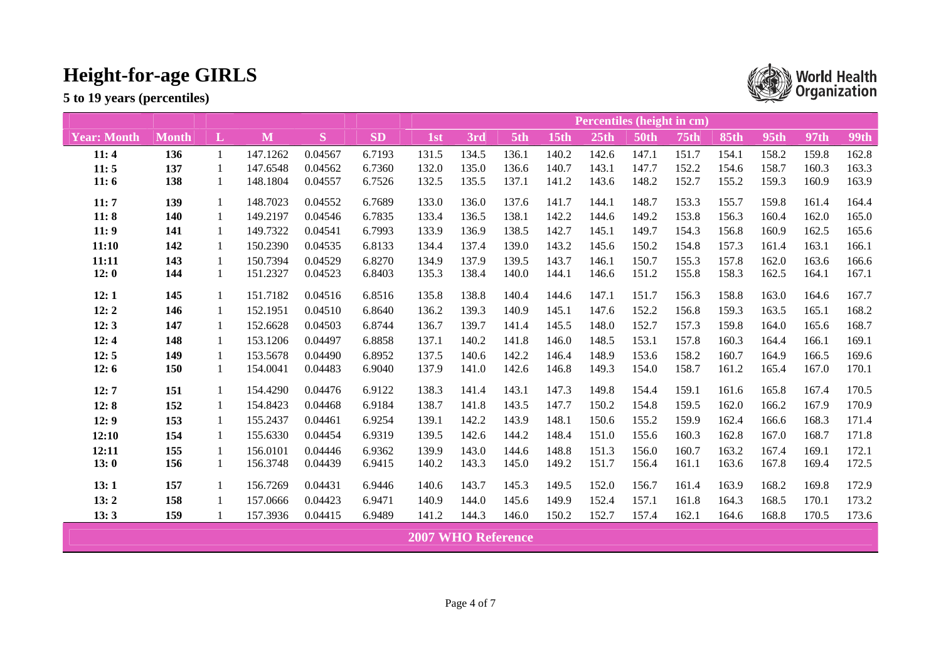|                    | Percentiles (height in cm) |              |          |         |           |                           |       |       |       |                  |             |       |             |       |       |             |
|--------------------|----------------------------|--------------|----------|---------|-----------|---------------------------|-------|-------|-------|------------------|-------------|-------|-------------|-------|-------|-------------|
| <b>Year: Month</b> | <b>Month</b>               | L            | M        | S       | <b>SD</b> | 1st                       | 3rd   | 5th   | 15th  | 25 <sub>th</sub> | <b>50th</b> | 75th  | <b>85th</b> | 95th  | 97th  | <b>99th</b> |
| 11:4               | 136                        | $\mathbf{1}$ | 147.1262 | 0.04567 | 6.7193    | 131.5                     | 134.5 | 136.1 | 140.2 | 142.6            | 147.1       | 151.7 | 154.1       | 158.2 | 159.8 | 162.8       |
| 11:5               | 137                        | 1            | 147.6548 | 0.04562 | 6.7360    | 132.0                     | 135.0 | 136.6 | 140.7 | 143.1            | 147.7       | 152.2 | 154.6       | 158.7 | 160.3 | 163.3       |
| 11:6               | 138                        |              | 148.1804 | 0.04557 | 6.7526    | 132.5                     | 135.5 | 137.1 | 141.2 | 143.6            | 148.2       | 152.7 | 155.2       | 159.3 | 160.9 | 163.9       |
| 11:7               | 139                        |              | 148.7023 | 0.04552 | 6.7689    | 133.0                     | 136.0 | 137.6 | 141.7 | 144.1            | 148.7       | 153.3 | 155.7       | 159.8 | 161.4 | 164.4       |
| 11:8               | 140                        |              | 149.2197 | 0.04546 | 6.7835    | 133.4                     | 136.5 | 138.1 | 142.2 | 144.6            | 149.2       | 153.8 | 156.3       | 160.4 | 162.0 | 165.0       |
| 11:9               | 141                        |              | 149.7322 | 0.04541 | 6.7993    | 133.9                     | 136.9 | 138.5 | 142.7 | 145.1            | 149.7       | 154.3 | 156.8       | 160.9 | 162.5 | 165.6       |
| 11:10              | 142                        | 1            | 150.2390 | 0.04535 | 6.8133    | 134.4                     | 137.4 | 139.0 | 143.2 | 145.6            | 150.2       | 154.8 | 157.3       | 161.4 | 163.1 | 166.1       |
| 11:11              | 143                        | 1            | 150.7394 | 0.04529 | 6.8270    | 134.9                     | 137.9 | 139.5 | 143.7 | 146.1            | 150.7       | 155.3 | 157.8       | 162.0 | 163.6 | 166.6       |
| 12:0               | 144                        | 1            | 151.2327 | 0.04523 | 6.8403    | 135.3                     | 138.4 | 140.0 | 144.1 | 146.6            | 151.2       | 155.8 | 158.3       | 162.5 | 164.1 | 167.1       |
| 12:1               | 145                        | 1            | 151.7182 | 0.04516 | 6.8516    | 135.8                     | 138.8 | 140.4 | 144.6 | 147.1            | 151.7       | 156.3 | 158.8       | 163.0 | 164.6 | 167.7       |
| 12:2               | 146                        | 1            | 152.1951 | 0.04510 | 6.8640    | 136.2                     | 139.3 | 140.9 | 145.1 | 147.6            | 152.2       | 156.8 | 159.3       | 163.5 | 165.1 | 168.2       |
| 12:3               | 147                        | 1            | 152.6628 | 0.04503 | 6.8744    | 136.7                     | 139.7 | 141.4 | 145.5 | 148.0            | 152.7       | 157.3 | 159.8       | 164.0 | 165.6 | 168.7       |
| 12:4               | 148                        | 1            | 153.1206 | 0.04497 | 6.8858    | 137.1                     | 140.2 | 141.8 | 146.0 | 148.5            | 153.1       | 157.8 | 160.3       | 164.4 | 166.1 | 169.1       |
| 12:5               | 149                        | 1            | 153.5678 | 0.04490 | 6.8952    | 137.5                     | 140.6 | 142.2 | 146.4 | 148.9            | 153.6       | 158.2 | 160.7       | 164.9 | 166.5 | 169.6       |
| 12:6               | 150                        | 1            | 154.0041 | 0.04483 | 6.9040    | 137.9                     | 141.0 | 142.6 | 146.8 | 149.3            | 154.0       | 158.7 | 161.2       | 165.4 | 167.0 | 170.1       |
| 12:7               | 151                        | 1            | 154.4290 | 0.04476 | 6.9122    | 138.3                     | 141.4 | 143.1 | 147.3 | 149.8            | 154.4       | 159.1 | 161.6       | 165.8 | 167.4 | 170.5       |
| 12:8               | 152                        | 1            | 154.8423 | 0.04468 | 6.9184    | 138.7                     | 141.8 | 143.5 | 147.7 | 150.2            | 154.8       | 159.5 | 162.0       | 166.2 | 167.9 | 170.9       |
| 12:9               | 153                        | 1            | 155.2437 | 0.04461 | 6.9254    | 139.1                     | 142.2 | 143.9 | 148.1 | 150.6            | 155.2       | 159.9 | 162.4       | 166.6 | 168.3 | 171.4       |
| 12:10              | 154                        | 1            | 155.6330 | 0.04454 | 6.9319    | 139.5                     | 142.6 | 144.2 | 148.4 | 151.0            | 155.6       | 160.3 | 162.8       | 167.0 | 168.7 | 171.8       |
| 12:11              | 155                        | 1            | 156.0101 | 0.04446 | 6.9362    | 139.9                     | 143.0 | 144.6 | 148.8 | 151.3            | 156.0       | 160.7 | 163.2       | 167.4 | 169.1 | 172.1       |
| 13:0               | 156                        | 1            | 156.3748 | 0.04439 | 6.9415    | 140.2                     | 143.3 | 145.0 | 149.2 | 151.7            | 156.4       | 161.1 | 163.6       | 167.8 | 169.4 | 172.5       |
| 13:1               | 157                        | 1            | 156.7269 | 0.04431 | 6.9446    | 140.6                     | 143.7 | 145.3 | 149.5 | 152.0            | 156.7       | 161.4 | 163.9       | 168.2 | 169.8 | 172.9       |
| 13:2               | 158                        | 1            | 157.0666 | 0.04423 | 6.9471    | 140.9                     | 144.0 | 145.6 | 149.9 | 152.4            | 157.1       | 161.8 | 164.3       | 168.5 | 170.1 | 173.2       |
| 13:3               | 159                        |              | 157.3936 | 0.04415 | 6.9489    | 141.2                     | 144.3 | 146.0 | 150.2 | 152.7            | 157.4       | 162.1 | 164.6       | 168.8 | 170.5 | 173.6       |
|                    |                            |              |          |         |           | <b>2007 WHO Reference</b> |       |       |       |                  |             |       |             |       |       |             |

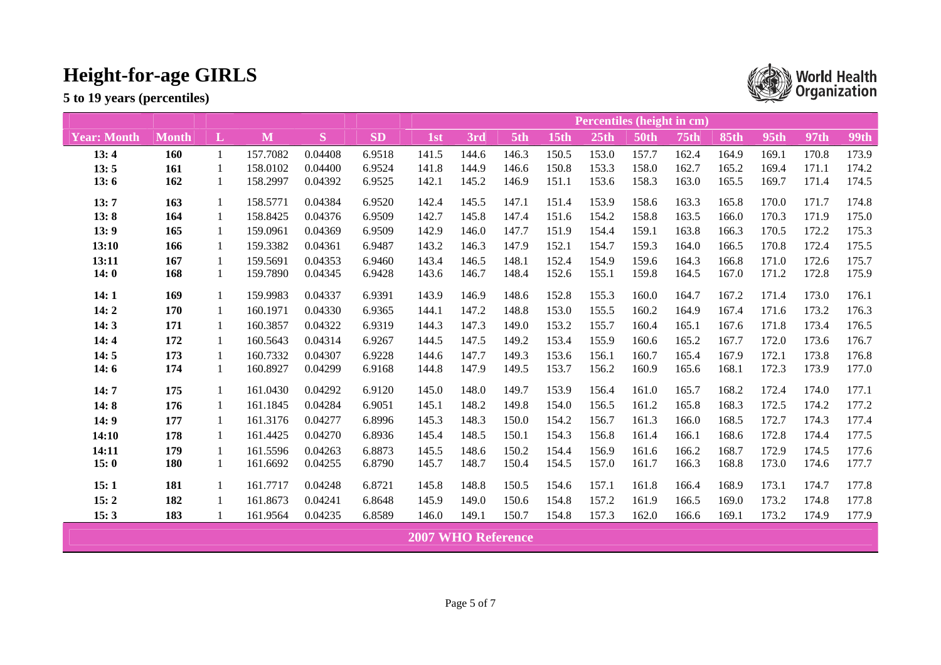|                    | Percentiles (height in cm) |          |          |         |           |                           |       |       |       |       |             |             |             |             |             |             |
|--------------------|----------------------------|----------|----------|---------|-----------|---------------------------|-------|-------|-------|-------|-------------|-------------|-------------|-------------|-------------|-------------|
| <b>Year: Month</b> | <b>Month</b>               | $\bf{L}$ | M        | S       | <b>SD</b> | 1st                       | 3rd   | 5th   | 15th  | 25th  | <b>50th</b> | <b>75th</b> | <b>85th</b> | <b>95th</b> | <b>97th</b> | <b>99th</b> |
| 13:4               | <b>160</b>                 | 1        | 157.7082 | 0.04408 | 6.9518    | 141.5                     | 144.6 | 146.3 | 150.5 | 153.0 | 157.7       | 162.4       | 164.9       | 169.1       | 170.8       | 173.9       |
| 13:5               | 161                        |          | 158.0102 | 0.04400 | 6.9524    | 141.8                     | 144.9 | 146.6 | 150.8 | 153.3 | 158.0       | 162.7       | 165.2       | 169.4       | 171.1       | 174.2       |
| 13:6               | 162                        | 1        | 158.2997 | 0.04392 | 6.9525    | 142.1                     | 145.2 | 146.9 | 151.1 | 153.6 | 158.3       | 163.0       | 165.5       | 169.7       | 171.4       | 174.5       |
| 13:7               | 163                        |          | 158.5771 | 0.04384 | 6.9520    | 142.4                     | 145.5 | 147.1 | 151.4 | 153.9 | 158.6       | 163.3       | 165.8       | 170.0       | 171.7       | 174.8       |
| 13:8               | 164                        |          | 158.8425 | 0.04376 | 6.9509    | 142.7                     | 145.8 | 147.4 | 151.6 | 154.2 | 158.8       | 163.5       | 166.0       | 170.3       | 171.9       | 175.0       |
| 13:9               | 165                        | 1        | 159.0961 | 0.04369 | 6.9509    | 142.9                     | 146.0 | 147.7 | 151.9 | 154.4 | 159.1       | 163.8       | 166.3       | 170.5       | 172.2       | 175.3       |
| 13:10              | 166                        | 1        | 159.3382 | 0.04361 | 6.9487    | 143.2                     | 146.3 | 147.9 | 152.1 | 154.7 | 159.3       | 164.0       | 166.5       | 170.8       | 172.4       | 175.5       |
| 13:11              | 167                        |          | 159.5691 | 0.04353 | 6.9460    | 143.4                     | 146.5 | 148.1 | 152.4 | 154.9 | 159.6       | 164.3       | 166.8       | 171.0       | 172.6       | 175.7       |
| 14:0               | 168                        | 1        | 159.7890 | 0.04345 | 6.9428    | 143.6                     | 146.7 | 148.4 | 152.6 | 155.1 | 159.8       | 164.5       | 167.0       | 171.2       | 172.8       | 175.9       |
| 14:1               | 169                        |          | 159.9983 | 0.04337 | 6.9391    | 143.9                     | 146.9 | 148.6 | 152.8 | 155.3 | 160.0       | 164.7       | 167.2       | 171.4       | 173.0       | 176.1       |
| 14:2               | 170                        | 1        | 160.1971 | 0.04330 | 6.9365    | 144.1                     | 147.2 | 148.8 | 153.0 | 155.5 | 160.2       | 164.9       | 167.4       | 171.6       | 173.2       | 176.3       |
| 14:3               | 171                        |          | 160.3857 | 0.04322 | 6.9319    | 144.3                     | 147.3 | 149.0 | 153.2 | 155.7 | 160.4       | 165.1       | 167.6       | 171.8       | 173.4       | 176.5       |
| 14:4               | 172                        | 1        | 160.5643 | 0.04314 | 6.9267    | 144.5                     | 147.5 | 149.2 | 153.4 | 155.9 | 160.6       | 165.2       | 167.7       | 172.0       | 173.6       | 176.7       |
| 14:5               | 173                        | 1        | 160.7332 | 0.04307 | 6.9228    | 144.6                     | 147.7 | 149.3 | 153.6 | 156.1 | 160.7       | 165.4       | 167.9       | 172.1       | 173.8       | 176.8       |
| 14:6               | 174                        | 1        | 160.8927 | 0.04299 | 6.9168    | 144.8                     | 147.9 | 149.5 | 153.7 | 156.2 | 160.9       | 165.6       | 168.1       | 172.3       | 173.9       | 177.0       |
| 14:7               | 175                        | 1        | 161.0430 | 0.04292 | 6.9120    | 145.0                     | 148.0 | 149.7 | 153.9 | 156.4 | 161.0       | 165.7       | 168.2       | 172.4       | 174.0       | 177.1       |
| 14:8               | 176                        | 1        | 161.1845 | 0.04284 | 6.9051    | 145.1                     | 148.2 | 149.8 | 154.0 | 156.5 | 161.2       | 165.8       | 168.3       | 172.5       | 174.2       | 177.2       |
| 14:9               | 177                        | 1        | 161.3176 | 0.04277 | 6.8996    | 145.3                     | 148.3 | 150.0 | 154.2 | 156.7 | 161.3       | 166.0       | 168.5       | 172.7       | 174.3       | 177.4       |
| 14:10              | 178                        |          | 161.4425 | 0.04270 | 6.8936    | 145.4                     | 148.5 | 150.1 | 154.3 | 156.8 | 161.4       | 166.1       | 168.6       | 172.8       | 174.4       | 177.5       |
| 14:11              | 179                        |          | 161.5596 | 0.04263 | 6.8873    | 145.5                     | 148.6 | 150.2 | 154.4 | 156.9 | 161.6       | 166.2       | 168.7       | 172.9       | 174.5       | 177.6       |
| 15:0               | <b>180</b>                 | 1        | 161.6692 | 0.04255 | 6.8790    | 145.7                     | 148.7 | 150.4 | 154.5 | 157.0 | 161.7       | 166.3       | 168.8       | 173.0       | 174.6       | 177.7       |
| 15:1               | 181                        |          | 161.7717 | 0.04248 | 6.8721    | 145.8                     | 148.8 | 150.5 | 154.6 | 157.1 | 161.8       | 166.4       | 168.9       | 173.1       | 174.7       | 177.8       |
| 15:2               | 182                        |          | 161.8673 | 0.04241 | 6.8648    | 145.9                     | 149.0 | 150.6 | 154.8 | 157.2 | 161.9       | 166.5       | 169.0       | 173.2       | 174.8       | 177.8       |
| 15:3               | 183                        |          | 161.9564 | 0.04235 | 6.8589    | 146.0                     | 149.1 | 150.7 | 154.8 | 157.3 | 162.0       | 166.6       | 169.1       | 173.2       | 174.9       | 177.9       |
|                    |                            |          |          |         |           | <b>2007 WHO Reference</b> |       |       |       |       |             |             |             |             |             |             |

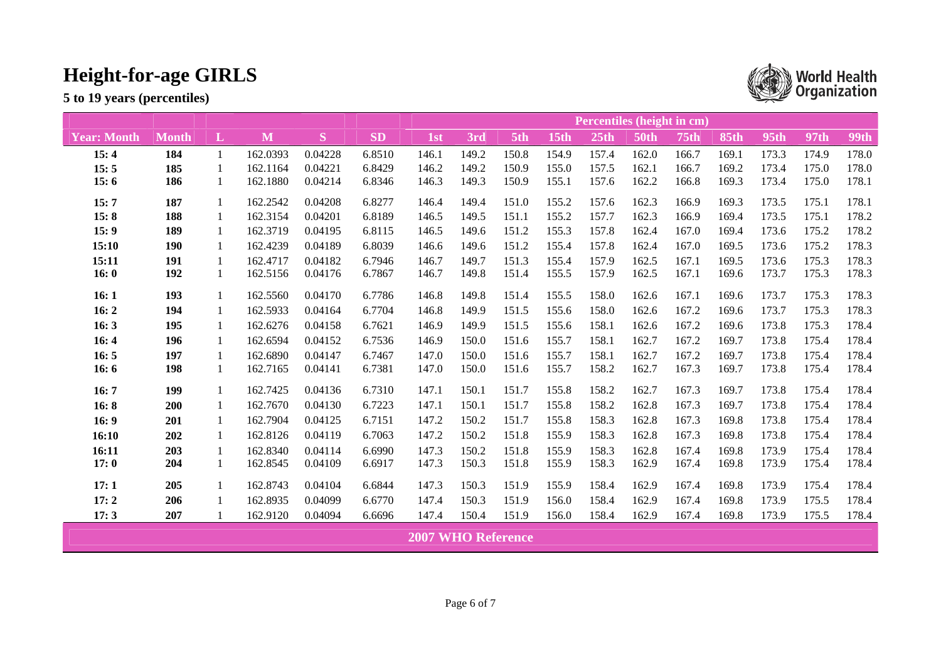|                    | Percentiles (height in cm) |   |          |         |           |                           |       |       |       |       |             |             |             |             |       |             |
|--------------------|----------------------------|---|----------|---------|-----------|---------------------------|-------|-------|-------|-------|-------------|-------------|-------------|-------------|-------|-------------|
| <b>Year: Month</b> | <b>Month</b>               | L | M        | S       | <b>SD</b> | 1st                       | 3rd   | 5th   | 15th  | 25th  | <b>50th</b> | <b>75th</b> | <b>85th</b> | <b>95th</b> | 97th  | <b>99th</b> |
| 15:4               | 184                        | 1 | 162.0393 | 0.04228 | 6.8510    | 146.1                     | 149.2 | 150.8 | 154.9 | 157.4 | 162.0       | 166.7       | 169.1       | 173.3       | 174.9 | 178.0       |
| 15:5               | 185                        |   | 162.1164 | 0.04221 | 6.8429    | 146.2                     | 149.2 | 150.9 | 155.0 | 157.5 | 162.1       | 166.7       | 169.2       | 173.4       | 175.0 | 178.0       |
| 15:6               | 186                        | 1 | 162.1880 | 0.04214 | 6.8346    | 146.3                     | 149.3 | 150.9 | 155.1 | 157.6 | 162.2       | 166.8       | 169.3       | 173.4       | 175.0 | 178.1       |
| 15:7               | 187                        | 1 | 162.2542 | 0.04208 | 6.8277    | 146.4                     | 149.4 | 151.0 | 155.2 | 157.6 | 162.3       | 166.9       | 169.3       | 173.5       | 175.1 | 178.1       |
| 15:8               | 188                        | 1 | 162.3154 | 0.04201 | 6.8189    | 146.5                     | 149.5 | 151.1 | 155.2 | 157.7 | 162.3       | 166.9       | 169.4       | 173.5       | 175.1 | 178.2       |
| 15:9               | 189                        | 1 | 162.3719 | 0.04195 | 6.8115    | 146.5                     | 149.6 | 151.2 | 155.3 | 157.8 | 162.4       | 167.0       | 169.4       | 173.6       | 175.2 | 178.2       |
| 15:10              | 190                        | 1 | 162.4239 | 0.04189 | 6.8039    | 146.6                     | 149.6 | 151.2 | 155.4 | 157.8 | 162.4       | 167.0       | 169.5       | 173.6       | 175.2 | 178.3       |
| 15:11              | 191                        |   | 162.4717 | 0.04182 | 6.7946    | 146.7                     | 149.7 | 151.3 | 155.4 | 157.9 | 162.5       | 167.1       | 169.5       | 173.6       | 175.3 | 178.3       |
| 16:0               | 192                        | 1 | 162.5156 | 0.04176 | 6.7867    | 146.7                     | 149.8 | 151.4 | 155.5 | 157.9 | 162.5       | 167.1       | 169.6       | 173.7       | 175.3 | 178.3       |
| 16:1               | 193                        | 1 | 162.5560 | 0.04170 | 6.7786    | 146.8                     | 149.8 | 151.4 | 155.5 | 158.0 | 162.6       | 167.1       | 169.6       | 173.7       | 175.3 | 178.3       |
| 16:2               | 194                        | 1 | 162.5933 | 0.04164 | 6.7704    | 146.8                     | 149.9 | 151.5 | 155.6 | 158.0 | 162.6       | 167.2       | 169.6       | 173.7       | 175.3 | 178.3       |
| 16:3               | 195                        | 1 | 162.6276 | 0.04158 | 6.7621    | 146.9                     | 149.9 | 151.5 | 155.6 | 158.1 | 162.6       | 167.2       | 169.6       | 173.8       | 175.3 | 178.4       |
| 16:4               | 196                        | 1 | 162.6594 | 0.04152 | 6.7536    | 146.9                     | 150.0 | 151.6 | 155.7 | 158.1 | 162.7       | 167.2       | 169.7       | 173.8       | 175.4 | 178.4       |
| 16:5               | 197                        |   | 162.6890 | 0.04147 | 6.7467    | 147.0                     | 150.0 | 151.6 | 155.7 | 158.1 | 162.7       | 167.2       | 169.7       | 173.8       | 175.4 | 178.4       |
| 16:6               | 198                        | 1 | 162.7165 | 0.04141 | 6.7381    | 147.0                     | 150.0 | 151.6 | 155.7 | 158.2 | 162.7       | 167.3       | 169.7       | 173.8       | 175.4 | 178.4       |
| 16:7               | 199                        | 1 | 162.7425 | 0.04136 | 6.7310    | 147.1                     | 150.1 | 151.7 | 155.8 | 158.2 | 162.7       | 167.3       | 169.7       | 173.8       | 175.4 | 178.4       |
| 16:8               | 200                        |   | 162.7670 | 0.04130 | 6.7223    | 147.1                     | 150.1 | 151.7 | 155.8 | 158.2 | 162.8       | 167.3       | 169.7       | 173.8       | 175.4 | 178.4       |
| 16:9               | 201                        | 1 | 162.7904 | 0.04125 | 6.7151    | 147.2                     | 150.2 | 151.7 | 155.8 | 158.3 | 162.8       | 167.3       | 169.8       | 173.8       | 175.4 | 178.4       |
| 16:10              | 202                        | 1 | 162.8126 | 0.04119 | 6.7063    | 147.2                     | 150.2 | 151.8 | 155.9 | 158.3 | 162.8       | 167.3       | 169.8       | 173.8       | 175.4 | 178.4       |
| 16:11              | 203                        |   | 162.8340 | 0.04114 | 6.6990    | 147.3                     | 150.2 | 151.8 | 155.9 | 158.3 | 162.8       | 167.4       | 169.8       | 173.9       | 175.4 | 178.4       |
| 17:0               | 204                        |   | 162.8545 | 0.04109 | 6.6917    | 147.3                     | 150.3 | 151.8 | 155.9 | 158.3 | 162.9       | 167.4       | 169.8       | 173.9       | 175.4 | 178.4       |
| 17:1               | 205                        | 1 | 162.8743 | 0.04104 | 6.6844    | 147.3                     | 150.3 | 151.9 | 155.9 | 158.4 | 162.9       | 167.4       | 169.8       | 173.9       | 175.4 | 178.4       |
| 17:2               | 206                        |   | 162.8935 | 0.04099 | 6.6770    | 147.4                     | 150.3 | 151.9 | 156.0 | 158.4 | 162.9       | 167.4       | 169.8       | 173.9       | 175.5 | 178.4       |
| 17:3               | 207                        |   | 162.9120 | 0.04094 | 6.6696    | 147.4                     | 150.4 | 151.9 | 156.0 | 158.4 | 162.9       | 167.4       | 169.8       | 173.9       | 175.5 | 178.4       |
|                    |                            |   |          |         |           | <b>2007 WHO Reference</b> |       |       |       |       |             |             |             |             |       |             |